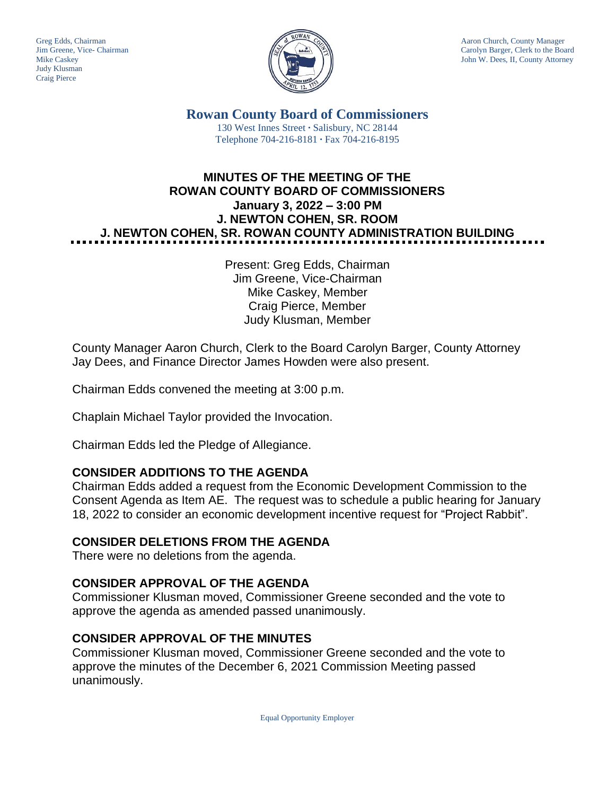Judy Klusman Craig Pierce



Greg Edds, Chairman Aaron Church, County Manager<br>Jim Greene, Vice- Chairman Aaron Church, County Manager<br>Carolyn Barger, Clerk to the Boa Carolyn Barger, Clerk to the Board Mike Caskey John W. Dees, II, County Attorney

> **Rowan County Board of Commissioners** 130 West Innes Street **∙** Salisbury, NC 28144 Telephone 704-216-8181 **∙** Fax 704-216-8195

# **MINUTES OF THE MEETING OF THE ROWAN COUNTY BOARD OF COMMISSIONERS January 3, 2022 – 3:00 PM J. NEWTON COHEN, SR. ROOM J. NEWTON COHEN, SR. ROWAN COUNTY ADMINISTRATION BUILDING**

Present: Greg Edds, Chairman Jim Greene, Vice-Chairman Mike Caskey, Member Craig Pierce, Member Judy Klusman, Member

County Manager Aaron Church, Clerk to the Board Carolyn Barger, County Attorney Jay Dees, and Finance Director James Howden were also present.

Chairman Edds convened the meeting at 3:00 p.m.

Chaplain Michael Taylor provided the Invocation.

Chairman Edds led the Pledge of Allegiance.

### **CONSIDER ADDITIONS TO THE AGENDA**

Chairman Edds added a request from the Economic Development Commission to the Consent Agenda as Item AE. The request was to schedule a public hearing for January 18, 2022 to consider an economic development incentive request for "Project Rabbit".

#### **CONSIDER DELETIONS FROM THE AGENDA**

There were no deletions from the agenda.

### **CONSIDER APPROVAL OF THE AGENDA**

Commissioner Klusman moved, Commissioner Greene seconded and the vote to approve the agenda as amended passed unanimously.

#### **CONSIDER APPROVAL OF THE MINUTES**

Commissioner Klusman moved, Commissioner Greene seconded and the vote to approve the minutes of the December 6, 2021 Commission Meeting passed unanimously.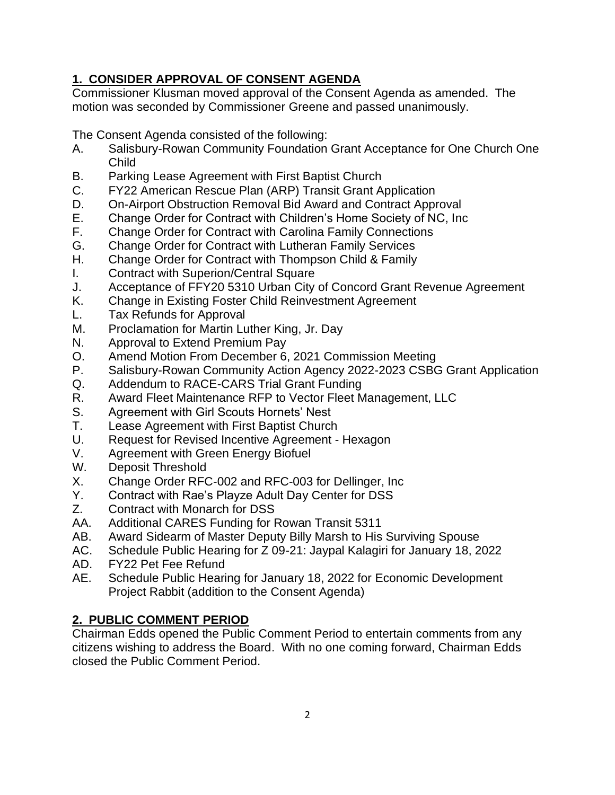# **1. CONSIDER APPROVAL OF CONSENT AGENDA**

Commissioner Klusman moved approval of the Consent Agenda as amended. The motion was seconded by Commissioner Greene and passed unanimously.

The Consent Agenda consisted of the following:

- A. Salisbury-Rowan Community Foundation Grant Acceptance for One Church One Child
- B. Parking Lease Agreement with First Baptist Church
- C. FY22 American Rescue Plan (ARP) Transit Grant Application
- D. On-Airport Obstruction Removal Bid Award and Contract Approval
- E. Change Order for Contract with Children's Home Society of NC, Inc
- F. Change Order for Contract with Carolina Family Connections
- G. Change Order for Contract with Lutheran Family Services
- H. Change Order for Contract with Thompson Child & Family
- I. Contract with Superion/Central Square
- J. Acceptance of FFY20 5310 Urban City of Concord Grant Revenue Agreement
- K. Change in Existing Foster Child Reinvestment Agreement
- L. Tax Refunds for Approval
- M. Proclamation for Martin Luther King, Jr. Day
- N. Approval to Extend Premium Pay
- O. Amend Motion From December 6, 2021 Commission Meeting
- P. Salisbury-Rowan Community Action Agency 2022-2023 CSBG Grant Application
- Q. Addendum to RACE-CARS Trial Grant Funding
- R. Award Fleet Maintenance RFP to Vector Fleet Management, LLC
- S. Agreement with Girl Scouts Hornets' Nest
- T. Lease Agreement with First Baptist Church
- U. Request for Revised Incentive Agreement Hexagon
- V. Agreement with Green Energy Biofuel
- W. Deposit Threshold
- X. Change Order RFC-002 and RFC-003 for Dellinger, Inc
- Y. Contract with Rae's Playze Adult Day Center for DSS
- Z. Contract with Monarch for DSS
- AA. Additional CARES Funding for Rowan Transit 5311
- AB. Award Sidearm of Master Deputy Billy Marsh to His Surviving Spouse
- AC. Schedule Public Hearing for Z 09-21: Jaypal Kalagiri for January 18, 2022
- AD. FY22 Pet Fee Refund
- AE. Schedule Public Hearing for January 18, 2022 for Economic Development Project Rabbit (addition to the Consent Agenda)

# **2. PUBLIC COMMENT PERIOD**

Chairman Edds opened the Public Comment Period to entertain comments from any citizens wishing to address the Board. With no one coming forward, Chairman Edds closed the Public Comment Period.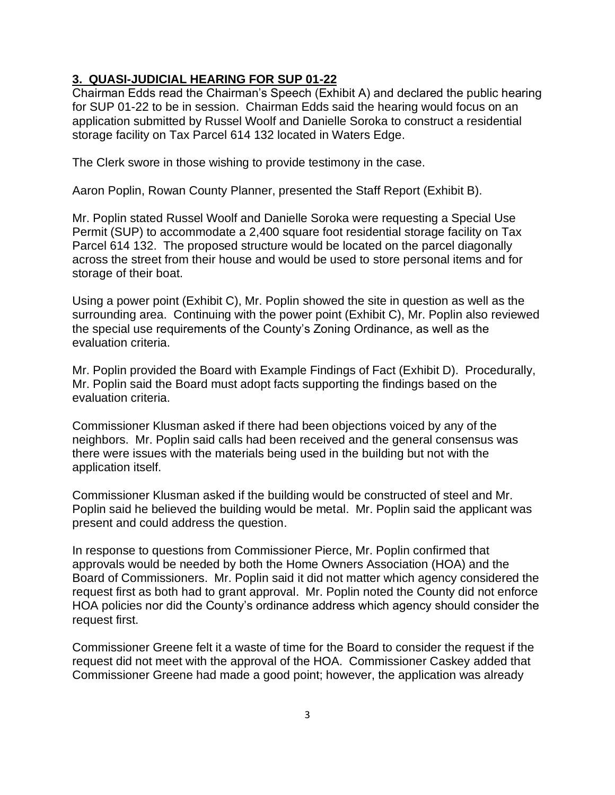#### **3. QUASI-JUDICIAL HEARING FOR SUP 01-22**

Chairman Edds read the Chairman's Speech (Exhibit A) and declared the public hearing for SUP 01-22 to be in session. Chairman Edds said the hearing would focus on an application submitted by Russel Woolf and Danielle Soroka to construct a residential storage facility on Tax Parcel 614 132 located in Waters Edge.

The Clerk swore in those wishing to provide testimony in the case.

Aaron Poplin, Rowan County Planner, presented the Staff Report (Exhibit B).

Mr. Poplin stated Russel Woolf and Danielle Soroka were requesting a Special Use Permit (SUP) to accommodate a 2,400 square foot residential storage facility on Tax Parcel 614 132. The proposed structure would be located on the parcel diagonally across the street from their house and would be used to store personal items and for storage of their boat.

Using a power point (Exhibit C), Mr. Poplin showed the site in question as well as the surrounding area. Continuing with the power point (Exhibit C), Mr. Poplin also reviewed the special use requirements of the County's Zoning Ordinance, as well as the evaluation criteria.

Mr. Poplin provided the Board with Example Findings of Fact (Exhibit D). Procedurally, Mr. Poplin said the Board must adopt facts supporting the findings based on the evaluation criteria.

Commissioner Klusman asked if there had been objections voiced by any of the neighbors. Mr. Poplin said calls had been received and the general consensus was there were issues with the materials being used in the building but not with the application itself.

Commissioner Klusman asked if the building would be constructed of steel and Mr. Poplin said he believed the building would be metal. Mr. Poplin said the applicant was present and could address the question.

In response to questions from Commissioner Pierce, Mr. Poplin confirmed that approvals would be needed by both the Home Owners Association (HOA) and the Board of Commissioners. Mr. Poplin said it did not matter which agency considered the request first as both had to grant approval. Mr. Poplin noted the County did not enforce HOA policies nor did the County's ordinance address which agency should consider the request first.

Commissioner Greene felt it a waste of time for the Board to consider the request if the request did not meet with the approval of the HOA. Commissioner Caskey added that Commissioner Greene had made a good point; however, the application was already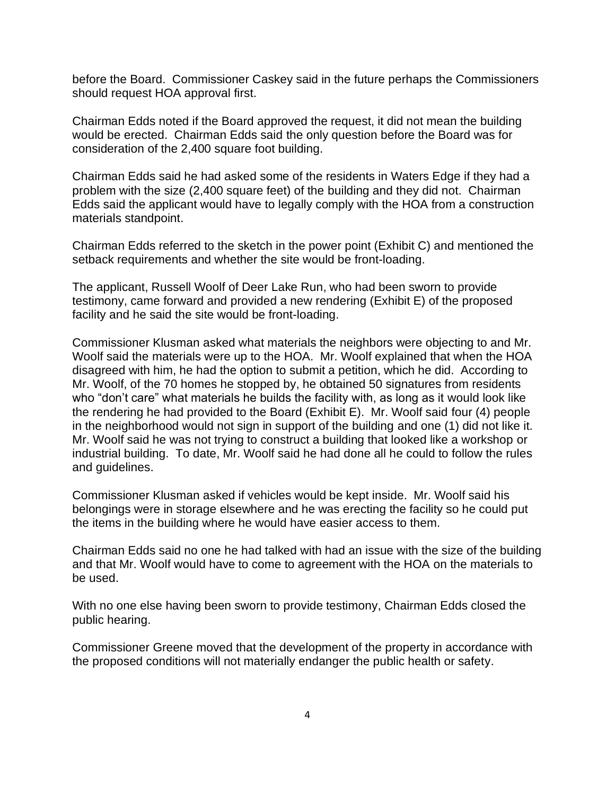before the Board. Commissioner Caskey said in the future perhaps the Commissioners should request HOA approval first.

Chairman Edds noted if the Board approved the request, it did not mean the building would be erected. Chairman Edds said the only question before the Board was for consideration of the 2,400 square foot building.

Chairman Edds said he had asked some of the residents in Waters Edge if they had a problem with the size (2,400 square feet) of the building and they did not. Chairman Edds said the applicant would have to legally comply with the HOA from a construction materials standpoint.

Chairman Edds referred to the sketch in the power point (Exhibit C) and mentioned the setback requirements and whether the site would be front-loading.

The applicant, Russell Woolf of Deer Lake Run, who had been sworn to provide testimony, came forward and provided a new rendering (Exhibit E) of the proposed facility and he said the site would be front-loading.

Commissioner Klusman asked what materials the neighbors were objecting to and Mr. Woolf said the materials were up to the HOA. Mr. Woolf explained that when the HOA disagreed with him, he had the option to submit a petition, which he did. According to Mr. Woolf, of the 70 homes he stopped by, he obtained 50 signatures from residents who "don't care" what materials he builds the facility with, as long as it would look like the rendering he had provided to the Board (Exhibit E). Mr. Woolf said four (4) people in the neighborhood would not sign in support of the building and one (1) did not like it. Mr. Woolf said he was not trying to construct a building that looked like a workshop or industrial building. To date, Mr. Woolf said he had done all he could to follow the rules and guidelines.

Commissioner Klusman asked if vehicles would be kept inside. Mr. Woolf said his belongings were in storage elsewhere and he was erecting the facility so he could put the items in the building where he would have easier access to them.

Chairman Edds said no one he had talked with had an issue with the size of the building and that Mr. Woolf would have to come to agreement with the HOA on the materials to be used.

With no one else having been sworn to provide testimony, Chairman Edds closed the public hearing.

Commissioner Greene moved that the development of the property in accordance with the proposed conditions will not materially endanger the public health or safety.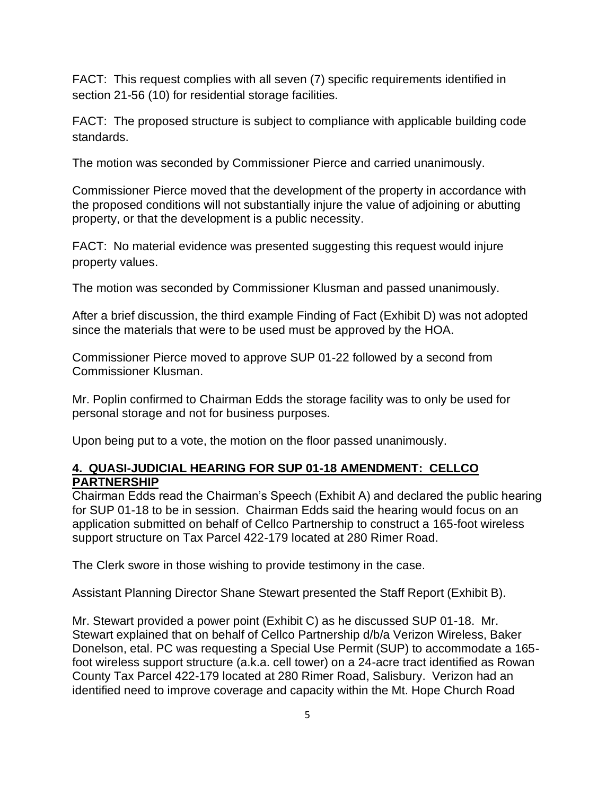FACT: This request complies with all seven (7) specific requirements identified in section 21-56 (10) for residential storage facilities.

FACT: The proposed structure is subject to compliance with applicable building code standards.

The motion was seconded by Commissioner Pierce and carried unanimously.

Commissioner Pierce moved that the development of the property in accordance with the proposed conditions will not substantially injure the value of adjoining or abutting property, or that the development is a public necessity.

FACT: No material evidence was presented suggesting this request would injure property values.

The motion was seconded by Commissioner Klusman and passed unanimously.

After a brief discussion, the third example Finding of Fact (Exhibit D) was not adopted since the materials that were to be used must be approved by the HOA.

Commissioner Pierce moved to approve SUP 01-22 followed by a second from Commissioner Klusman.

Mr. Poplin confirmed to Chairman Edds the storage facility was to only be used for personal storage and not for business purposes.

Upon being put to a vote, the motion on the floor passed unanimously.

### **4. QUASI-JUDICIAL HEARING FOR SUP 01-18 AMENDMENT: CELLCO PARTNERSHIP**

Chairman Edds read the Chairman's Speech (Exhibit A) and declared the public hearing for SUP 01-18 to be in session. Chairman Edds said the hearing would focus on an application submitted on behalf of Cellco Partnership to construct a 165-foot wireless support structure on Tax Parcel 422-179 located at 280 Rimer Road.

The Clerk swore in those wishing to provide testimony in the case.

Assistant Planning Director Shane Stewart presented the Staff Report (Exhibit B).

Mr. Stewart provided a power point (Exhibit C) as he discussed SUP 01-18. Mr. Stewart explained that on behalf of Cellco Partnership d/b/a Verizon Wireless, Baker Donelson, etal. PC was requesting a Special Use Permit (SUP) to accommodate a 165 foot wireless support structure (a.k.a. cell tower) on a 24-acre tract identified as Rowan County Tax Parcel 422-179 located at 280 Rimer Road, Salisbury. Verizon had an identified need to improve coverage and capacity within the Mt. Hope Church Road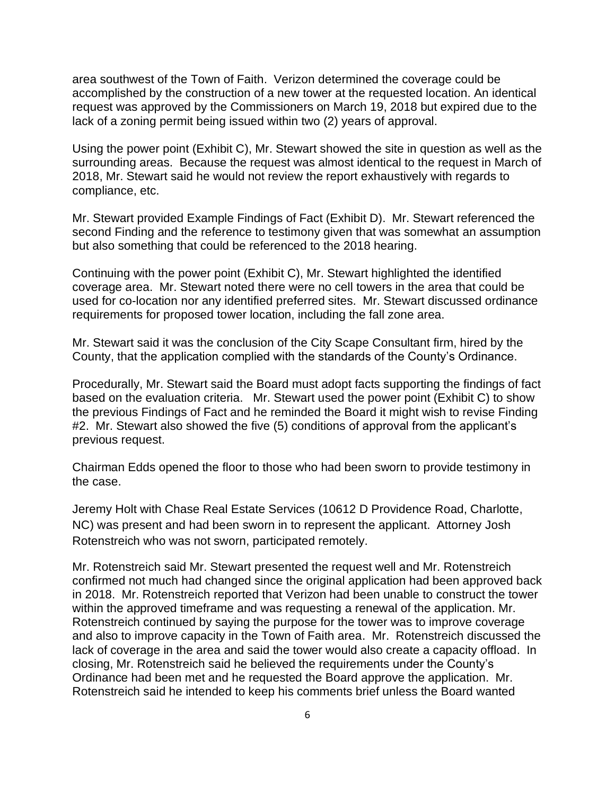area southwest of the Town of Faith. Verizon determined the coverage could be accomplished by the construction of a new tower at the requested location. An identical request was approved by the Commissioners on March 19, 2018 but expired due to the lack of a zoning permit being issued within two (2) years of approval.

Using the power point (Exhibit C), Mr. Stewart showed the site in question as well as the surrounding areas. Because the request was almost identical to the request in March of 2018, Mr. Stewart said he would not review the report exhaustively with regards to compliance, etc.

Mr. Stewart provided Example Findings of Fact (Exhibit D). Mr. Stewart referenced the second Finding and the reference to testimony given that was somewhat an assumption but also something that could be referenced to the 2018 hearing.

Continuing with the power point (Exhibit C), Mr. Stewart highlighted the identified coverage area. Mr. Stewart noted there were no cell towers in the area that could be used for co-location nor any identified preferred sites. Mr. Stewart discussed ordinance requirements for proposed tower location, including the fall zone area.

Mr. Stewart said it was the conclusion of the City Scape Consultant firm, hired by the County, that the application complied with the standards of the County's Ordinance.

Procedurally, Mr. Stewart said the Board must adopt facts supporting the findings of fact based on the evaluation criteria. Mr. Stewart used the power point (Exhibit C) to show the previous Findings of Fact and he reminded the Board it might wish to revise Finding #2. Mr. Stewart also showed the five (5) conditions of approval from the applicant's previous request.

Chairman Edds opened the floor to those who had been sworn to provide testimony in the case.

Jeremy Holt with Chase Real Estate Services (10612 D Providence Road, Charlotte, NC) was present and had been sworn in to represent the applicant. Attorney Josh Rotenstreich who was not sworn, participated remotely.

Mr. Rotenstreich said Mr. Stewart presented the request well and Mr. Rotenstreich confirmed not much had changed since the original application had been approved back in 2018. Mr. Rotenstreich reported that Verizon had been unable to construct the tower within the approved timeframe and was requesting a renewal of the application. Mr. Rotenstreich continued by saying the purpose for the tower was to improve coverage and also to improve capacity in the Town of Faith area. Mr. Rotenstreich discussed the lack of coverage in the area and said the tower would also create a capacity offload. In closing, Mr. Rotenstreich said he believed the requirements under the County's Ordinance had been met and he requested the Board approve the application. Mr. Rotenstreich said he intended to keep his comments brief unless the Board wanted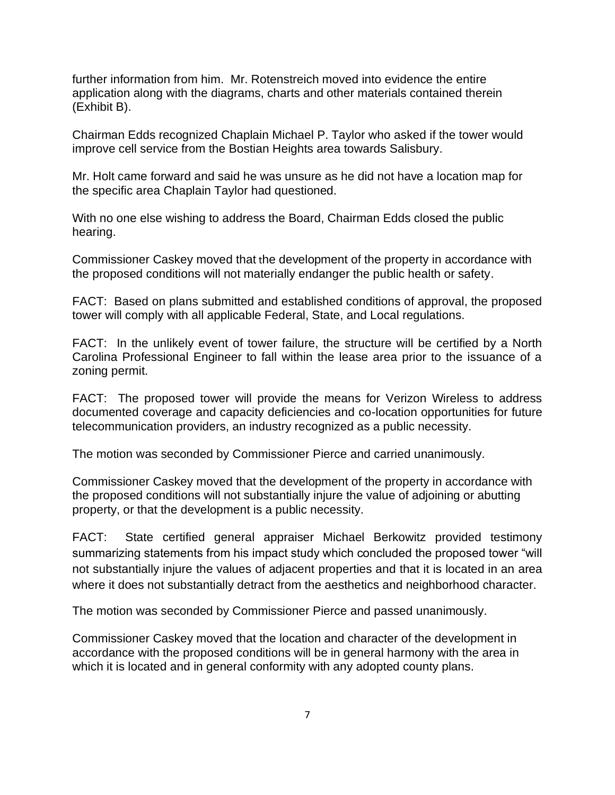further information from him. Mr. Rotenstreich moved into evidence the entire application along with the diagrams, charts and other materials contained therein (Exhibit B).

Chairman Edds recognized Chaplain Michael P. Taylor who asked if the tower would improve cell service from the Bostian Heights area towards Salisbury.

Mr. Holt came forward and said he was unsure as he did not have a location map for the specific area Chaplain Taylor had questioned.

With no one else wishing to address the Board, Chairman Edds closed the public hearing.

Commissioner Caskey moved that the development of the property in accordance with the proposed conditions will not materially endanger the public health or safety.

FACT: Based on plans submitted and established conditions of approval, the proposed tower will comply with all applicable Federal, State, and Local regulations.

FACT: In the unlikely event of tower failure, the structure will be certified by a North Carolina Professional Engineer to fall within the lease area prior to the issuance of a zoning permit.

FACT: The proposed tower will provide the means for Verizon Wireless to address documented coverage and capacity deficiencies and co-location opportunities for future telecommunication providers, an industry recognized as a public necessity.

The motion was seconded by Commissioner Pierce and carried unanimously.

Commissioner Caskey moved that the development of the property in accordance with the proposed conditions will not substantially injure the value of adjoining or abutting property, or that the development is a public necessity.

FACT:State certified general appraiser Michael Berkowitz provided testimony summarizing statements from his impact study which concluded the proposed tower "will not substantially injure the values of adjacent properties and that it is located in an area where it does not substantially detract from the aesthetics and neighborhood character.

The motion was seconded by Commissioner Pierce and passed unanimously.

Commissioner Caskey moved that the location and character of the development in accordance with the proposed conditions will be in general harmony with the area in which it is located and in general conformity with any adopted county plans.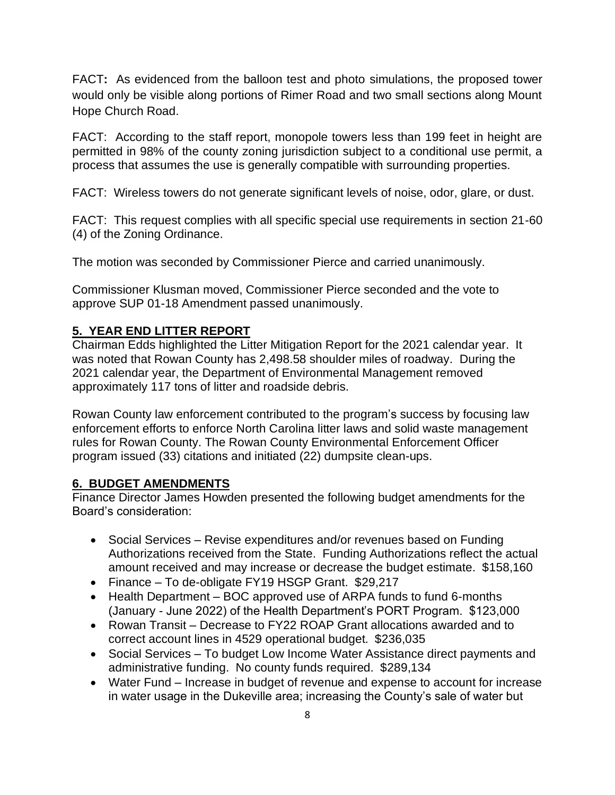FACT**:** As evidenced from the balloon test and photo simulations, the proposed tower would only be visible along portions of Rimer Road and two small sections along Mount Hope Church Road.

FACT: According to the staff report, monopole towers less than 199 feet in height are permitted in 98% of the county zoning jurisdiction subject to a conditional use permit, a process that assumes the use is generally compatible with surrounding properties.

FACT: Wireless towers do not generate significant levels of noise, odor, glare, or dust.

FACT: This request complies with all specific special use requirements in section 21-60 (4) of the Zoning Ordinance.

The motion was seconded by Commissioner Pierce and carried unanimously.

Commissioner Klusman moved, Commissioner Pierce seconded and the vote to approve SUP 01-18 Amendment passed unanimously.

### **5. YEAR END LITTER REPORT**

Chairman Edds highlighted the Litter Mitigation Report for the 2021 calendar year. It was noted that Rowan County has 2,498.58 shoulder miles of roadway. During the 2021 calendar year, the Department of Environmental Management removed approximately 117 tons of litter and roadside debris.

Rowan County law enforcement contributed to the program's success by focusing law enforcement efforts to enforce North Carolina litter laws and solid waste management rules for Rowan County. The Rowan County Environmental Enforcement Officer program issued (33) citations and initiated (22) dumpsite clean-ups.

### **6. BUDGET AMENDMENTS**

Finance Director James Howden presented the following budget amendments for the Board's consideration:

- Social Services Revise expenditures and/or revenues based on Funding Authorizations received from the State. Funding Authorizations reflect the actual amount received and may increase or decrease the budget estimate. \$158,160
- Finance To de-obligate FY19 HSGP Grant. \$29,217
- Health Department BOC approved use of ARPA funds to fund 6-months (January - June 2022) of the Health Department's PORT Program. \$123,000
- Rowan Transit Decrease to FY22 ROAP Grant allocations awarded and to correct account lines in 4529 operational budget. \$236,035
- Social Services To budget Low Income Water Assistance direct payments and administrative funding. No county funds required. \$289,134
- Water Fund Increase in budget of revenue and expense to account for increase in water usage in the Dukeville area; increasing the County's sale of water but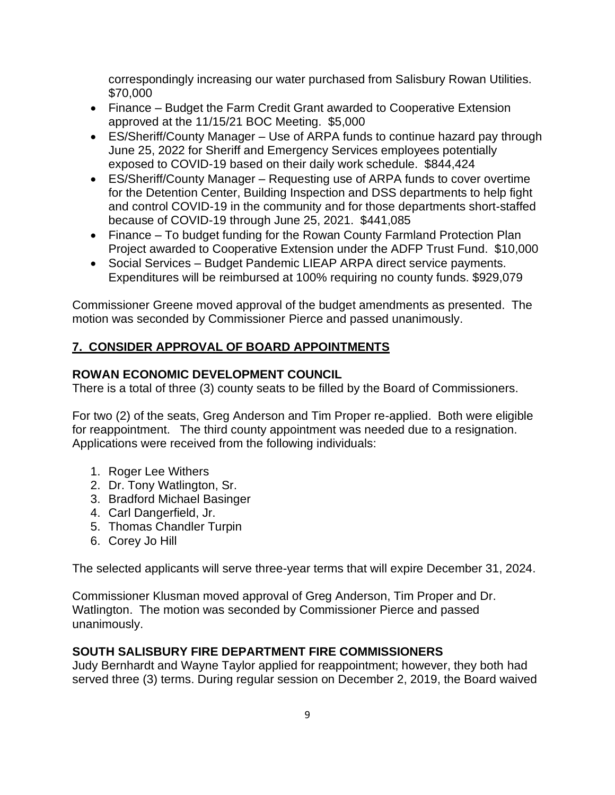correspondingly increasing our water purchased from Salisbury Rowan Utilities. \$70,000

- Finance Budget the Farm Credit Grant awarded to Cooperative Extension approved at the 11/15/21 BOC Meeting. \$5,000
- ES/Sheriff/County Manager Use of ARPA funds to continue hazard pay through June 25, 2022 for Sheriff and Emergency Services employees potentially exposed to COVID-19 based on their daily work schedule. \$844,424
- ES/Sheriff/County Manager Requesting use of ARPA funds to cover overtime for the Detention Center, Building Inspection and DSS departments to help fight and control COVID-19 in the community and for those departments short-staffed because of COVID-19 through June 25, 2021. \$441,085
- Finance To budget funding for the Rowan County Farmland Protection Plan Project awarded to Cooperative Extension under the ADFP Trust Fund. \$10,000
- Social Services Budget Pandemic LIEAP ARPA direct service payments. Expenditures will be reimbursed at 100% requiring no county funds. \$929,079

Commissioner Greene moved approval of the budget amendments as presented. The motion was seconded by Commissioner Pierce and passed unanimously.

### **7. CONSIDER APPROVAL OF BOARD APPOINTMENTS**

#### **ROWAN ECONOMIC DEVELOPMENT COUNCIL**

There is a total of three (3) county seats to be filled by the Board of Commissioners.

For two (2) of the seats, Greg Anderson and Tim Proper re-applied. Both were eligible for reappointment. The third county appointment was needed due to a resignation. Applications were received from the following individuals:

- 1. Roger Lee Withers
- 2. Dr. Tony Watlington, Sr.
- 3. Bradford Michael Basinger
- 4. Carl Dangerfield, Jr.
- 5. Thomas Chandler Turpin
- 6. Corey Jo Hill

The selected applicants will serve three-year terms that will expire December 31, 2024.

Commissioner Klusman moved approval of Greg Anderson, Tim Proper and Dr. Watlington. The motion was seconded by Commissioner Pierce and passed unanimously.

#### **SOUTH SALISBURY FIRE DEPARTMENT FIRE COMMISSIONERS**

Judy Bernhardt and Wayne Taylor applied for reappointment; however, they both had served three (3) terms. During regular session on December 2, 2019, the Board waived